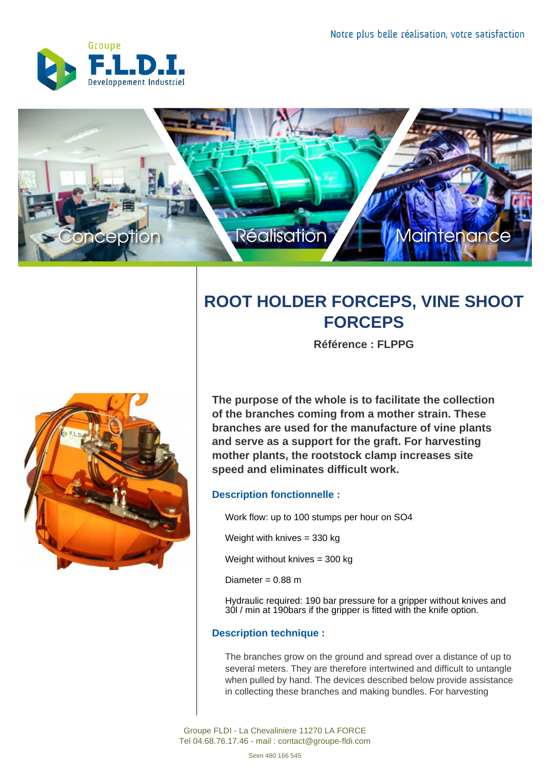



## **ROOT HOLDER FORCEPS, VINE SHOOT FORCEPS**

**Référence : FLPPG**



**The purpose of the whole is to facilitate the collection of the branches coming from a mother strain. These branches are used for the manufacture of vine plants and serve as a support for the graft. For harvesting mother plants, the rootstock clamp increases site speed and eliminates difficult work.**

## **Description fonctionnelle :**

Work flow: up to 100 stumps per hour on SO4

Weight with knives = 330 kg

Weight without knives = 300 kg

Diameter =  $0.88$  m

Hydraulic required: 190 bar pressure for a gripper without knives and 30l / min at 190bars if the gripper is fitted with the knife option.

## **Description technique :**

The branches grow on the ground and spread over a distance of up to several meters. They are therefore intertwined and difficult to untangle when pulled by hand. The devices described below provide assistance in collecting these branches and making bundles. For harvesting

Groupe FLDI - La Chevaliniere 11270 LA FORCE Tel 04.68.76.17.46 - mail : contact@groupe-fldi.com